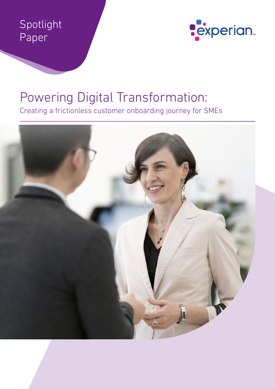# Spotlight Paper



# Powering Digital Transformation:

Creating a frictionless customer onboarding journey for SMEs

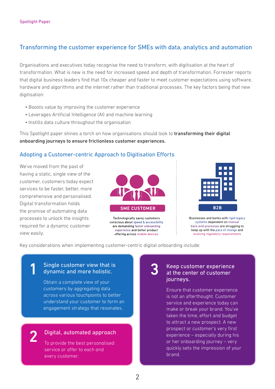## Transforming the customer experience for SMEs with data, analytics and automation

Organisations and executives today recognise the need to transform, with digitisation at the heart of transformation. What is new is the need for increased speed and depth of transformation. Forrester reports that digital business leaders find that 10x cheaper and faster to meet customer expectations using software, hardware and algorithms and the internet rather than traditional processes. The key factors being that new digitisation:

- Boosts value by improving the customer experience
- Leverages Artificial Intelligence (AI) and machine learning
- Instills data culture throughout the organisation

This Spotlight paper shines a torch on how organisations should look to transforming their digital onboarding journeys to ensure frictionless customer experiences.

#### Adopting a Customer-centric Approach to Digitisation Efforts

We've moved from the past of having a static, single view of the customer, customers today expect services to be faster, better, more comprehensive and personalised. Digital transformation holds the promise of automating data processes to unlock the insights required for a dynamic customer view easily.



Technologically sayyy customers conscious about speed & accessibility are demanding faster onboarding experience and better product offering across mobile devices



Businesses and banks with rigid legacy systems dependent on manual back-end processes are struggling to keep up with the pace of change and evolving regulatory requirements

Key considerations when implementing customer-centric digital onboarding include:

# Single customer view that is<br>dynamic and more holistic. dynamic and more holistic.

Obtain a complete view of your customers by aggregating data across various touchpoints to better understand your customer to form an engagement strategy that resonates.

#### Digital, automated approach

To provide the best personalised service or offer to each and every customer.

#### Keep customer experience at the center of customer journeys.

Ensure that customer experience is not an afterthought. Customer service and experience today can make or break your brand. You've taken the time, effort and budget to attract a new prospect. A new prospect or customer's very first experience – especially during his or her onboarding journey – very quickly sets the impression of your brand.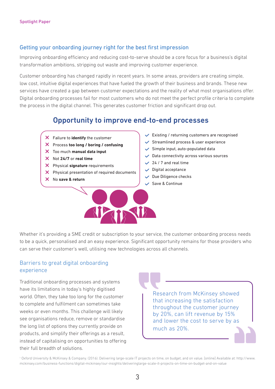#### Getting your onboarding journey right for the best first impression

Improving onboarding efficiency and reducing cost-to-serve should be a core focus for a business's digital transformation ambitions, stripping out waste and improving customer experience.

Customer onboarding has changed rapidly in recent years. In some areas, providers are creating simple, low cost, intuitive digital experiences that have fueled the growth of their business and brands. These new services have created a gap between customer expectations and the reality of what most organisations offer. Digital onboarding processes fail for most customers who do not meet the perfect profile criteria to complete the process in the digital channel. This generates customer friction and significant drop out.

# Opportunity to improve end-to-end processes

- Failure to **identify** the customer
- Process **too long / boring / confusing**
- Too much **manual data input**
- Not **24/7** or **real time**
- Physical **signature** requirements
- X Physical presentation of required documents
- No **save & return**
- $\vee$  Existing / returning customers are recognised
- $\checkmark$  Streamlined process & user experience
- $\checkmark$  Simple input, auto-populated data
- $\vee$  Data connectivity across various sources
- $\sqrt{24/7}$  and real time
- $\vee$  Digital acceptance
- $\vee$  Due Diligence checks
- Save & Continue

Whether it's providing a SME credit or subscription to your service, the customer onboarding process needs to be a quick, personalised and an easy experience. Significant opportunity remains for those providers who can serve their customer's well, utilising new technologies across all channels.

PART

#### Barriers to great digital onboarding experience

Traditional onboarding processes and systems have its limitations in today's highly digitised world. Often, they take too long for the customer to complete and fulfilment can sometimes take weeks or even months. This challenge will likely see organisations reduce, remove or standardise the long list of options they currently provide on products, and simplify their offerings as a result, instead of capitalising on opportunities to offering their full breadth of solutions.

Research from McKinsey showed that increasing the satisfaction throughout the customer journey by 20%, can lift revenue by 15% and lower the cost to serve by as much as 20%.

1 Oxford University & McKinsey & Company. (2016). Delivering large-scale IT projects on time, on budget, and on value. [online] Available at: http://www. mckinsey.com/business-functions/digital-mckinsey/our-insights/deliveringlarge-scale-it-projects-on-time-on-budget-and-on-value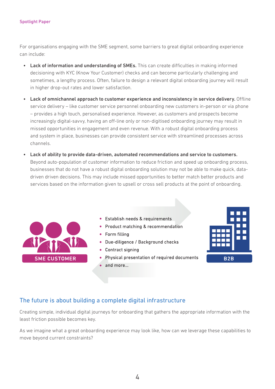#### Spotlight Paper

For organisations engaging with the SME segment, some barriers to great digital onboarding experience can include:

- Lack of information and understanding of SMEs. This can create difficulties in making informed decisioning with KYC (Know Your Customer) checks and can become particularly challenging and sometimes, a lengthy process. Often, failure to design a relevant digital onboarding journey will result in higher drop-out rates and lower satisfaction.
- Lack of omnichannel approach to customer experience and inconsistency in service delivery. Offline service delivery – like customer service personnel onboarding new customers in-person or via phone – provides a high touch, personalised experience. However, as customers and prospects become increasingly digital-savvy, having an off-line only or non-digitised onboarding journey may result in missed opportunities in engagement and even revenue. With a robust digital onboarding process and system in place, businesses can provide consistent service with streamlined processes across channels.
- Lack of ability to provide data-driven, automated recommendations and service to customers. Beyond auto-population of customer information to reduce friction and speed up onboarding process, businesses that do not have a robust digital onboarding solution may not be able to make quick, datadriven driven decisions. This may include missed opportunities to better match better products and services based on the information given to upsell or cross sell products at the point of onboarding.



- Establish needs & requirements
- Product matching & recommendation
- Form filling
- Due-diligence / Background checks
- Contract signing
- Physical presentation of required documents
- $\bullet$  and more...



#### The future is about building a complete digital infrastructure

Creating simple, individual digital journeys for onboarding that gathers the appropriate information with the least friction possible becomes key.

As we imagine what a great onboarding experience may look like, how can we leverage these capabilities to move beyond current constraints?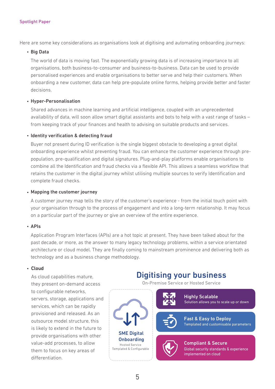Here are some key considerations as organisations look at digitising and automating onboarding journeys:

#### Big Data

The world of data is moving fast. The exponentially growing data is of increasing importance to all organisations, both business-to-consumer and business-to-business. Data can be used to provide personalised experiences and enable organisations to better serve and help their customers. When onboarding a new customer, data can help pre-populate online forms, helping provide better and faster decisions.

#### Hyper-Personalisation

Shared advances in machine learning and artificial intelligence, coupled with an unprecedented availability of data, will soon allow smart digital assistants and bots to help with a vast range of tasks – from keeping track of your finances and health to advising on suitable products and services.

#### **· Identity verification & detecting fraud**

Buyer not present during ID verification is the single biggest obstacle to developing a great digital onboarding experience whilst preventing fraud. You can enhance the customer experience through prepopulation, pre-qualification and digital signatures. Plug-and-play platforms enable organisations to combine all the Identification and fraud checks via a flexible API. This allows a seamless workflow that retains the customer in the digital journey whilst utilising multiple sources to verify Identification and complete fraud checks.

#### • Mapping the customer journey

A customer journey map tells the story of the customer's experience - from the initial touch point with your organisation through to the process of engagement and into a long-term relationship. It may focus on a particular part of the journey or give an overview of the entire experience.

#### $\cdot$  APIs

Application Program Interfaces (APIs) are a hot topic at present. They have been talked about for the past decade, or more, as the answer to many legacy technology problems, within a service orientated architecture or cloud model. They are finally coming to mainstream prominence and delivering both as technology and as a business change methodology.

#### Cloud

As cloud capabilities mature, they present on-demand access to configurable networks, servers, storage, applications and services, which can be rapidly provisioned and released. As an outsource model structure, this is likely to extend in the future to provide organisations with other value-add processes, to allow them to focus on key areas of differentiation.

# Digitising your business

On-Premise Service or Hosted Service



Compliant & Secure Global security standards & experience implemented on cloud

Highly Scalable

Fast & Easy to Deploy

Solution allows you to scale up or down

Templated and customisable parameters

5